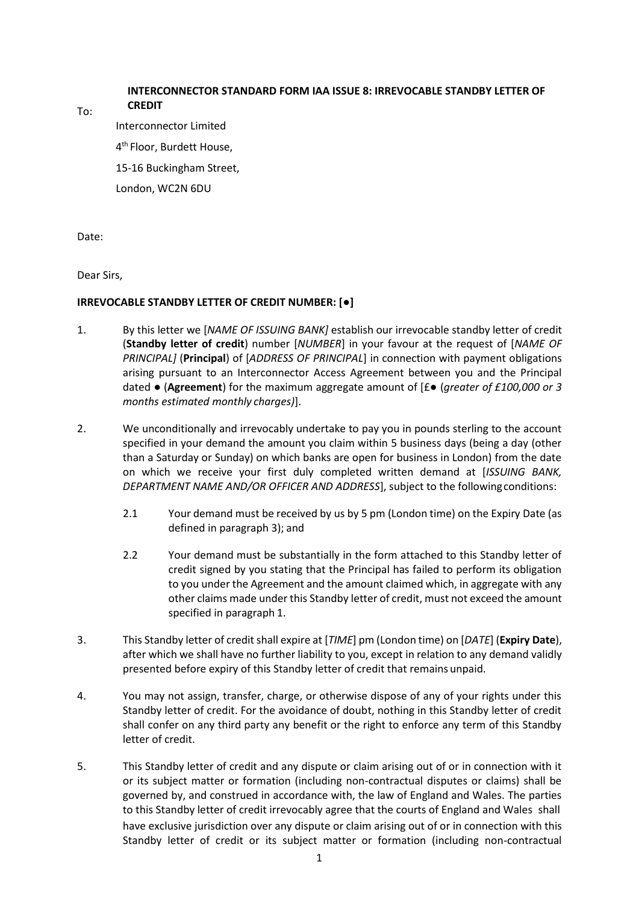## **INTERCONNECTOR STANDARD FORM IAA ISSUE 8: IRREVOCABLE STANDBY LETTER OF CREDIT**

To:

Interconnector Limited 4 th Floor, Burdett House, 15-16 Buckingham Street, London, WC2N 6DU

Date:

Dear Sirs,

## **IRREVOCABLE STANDBY LETTER OF CREDIT NUMBER: [●]**

- <span id="page-0-1"></span>1. By this letter we [*NAME OF ISSUING BANK]* establish our irrevocable standby letter of credit (**Standby letter of credit**) number [*NUMBER*] in your favour at the request of [*NAME OF PRINCIPAL]* (**Principal**) of [*ADDRESS OF PRINCIPAL*] in connection with payment obligations arising pursuant to an Interconnector Access Agreement between you and the Principal dated ● (**Agreement**) for the maximum aggregate amount of [£● (*greater of £100,000 or 3 months estimated monthly charges)*].
- 2. We unconditionally and irrevocably undertake to pay you in pounds sterling to the account specified in your demand the amount you claim within 5 business days (being a day (other than a Saturday or Sunday) on which banks are open for business in London) from the date on which we receive your first duly completed written demand at [*ISSUING BANK, DEPARTMENT NAME AND/OR OFFICER AND ADDRESS*], subject to the followingconditions:
	- 2.1 Your demand must be received by us by 5 pm (London time) on the Expiry Date (as defined in paragraph [3\)](#page-0-0); and
	- 2.2 Your demand must be substantially in the form attached to this Standby letter of credit signed by you stating that the Principal has failed to perform its obligation to you under the Agreement and the amount claimed which, in aggregate with any other claims made under this Standby letter of credit, must not exceed the amount specified in paragraph [1.](#page-0-1)
- <span id="page-0-0"></span>3. This Standby letter of creditshall expire at [*TIME*] pm (London time) on [*DATE*] (**Expiry Date**), after which we shall have no further liability to you, except in relation to any demand validly presented before expiry of this Standby letter of credit that remains unpaid.
- 4. You may not assign, transfer, charge, or otherwise dispose of any of your rights under this Standby letter of credit. For the avoidance of doubt, nothing in this Standby letter of credit shall confer on any third party any benefit or the right to enforce any term of this Standby letter of credit.
- 5. This Standby letter of credit and any dispute or claim arising out of or in connection with it or its subject matter or formation (including non-contractual disputes or claims) shall be governed by, and construed in accordance with, the law of England and Wales. The parties to this Standby letter of credit irrevocably agree that the courts of England and Wales shall have exclusive jurisdiction over any dispute or claim arising out of or in connection with this Standby letter of credit or its subject matter or formation (including non-contractual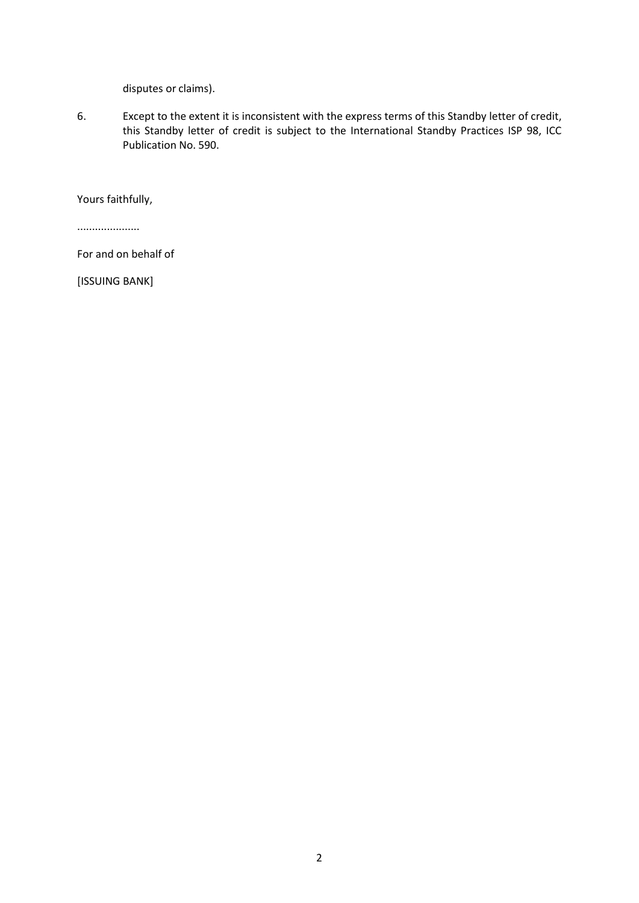disputes or claims).

6. Except to the extent it is inconsistent with the express terms of this Standby letter of credit, this Standby letter of credit is subject to the International Standby Practices ISP 98, ICC Publication No. 590.

Yours faithfully,

.....................

For and on behalf of

[ISSUING BANK]